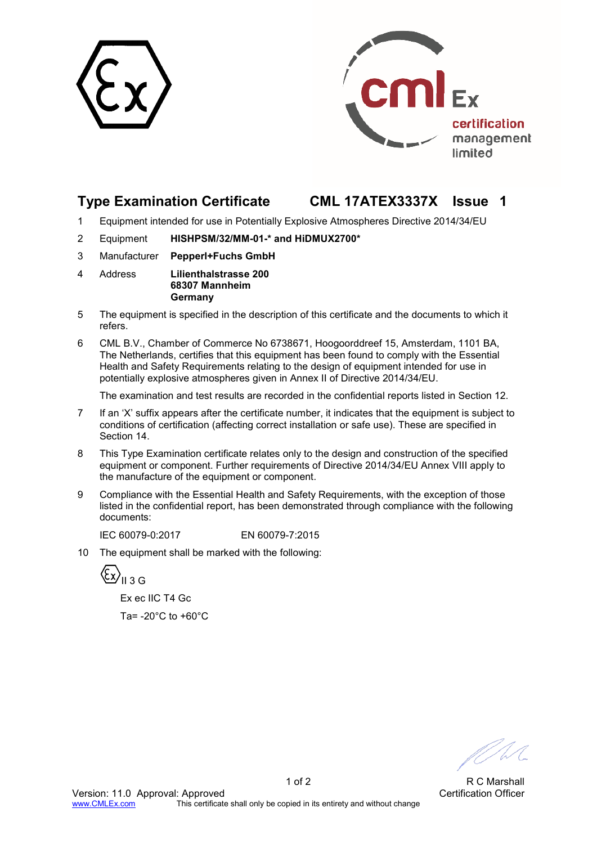



# **Type Examination Certificate CML 17ATEX3337X Issue 1**

- 1 Equipment intended for use in Potentially Explosive Atmospheres Directive 2014/34/EU
- 2 Equipment **HISHPSM/32/MM-01-\* and HiDMUX2700\***
- 3 Manufacturer **Pepperl+Fuchs GmbH**
- 4 Address **Lilienthalstrasse 200 68307 Mannheim Germany**
- 5 The equipment is specified in the description of this certificate and the documents to which it refers.
- 6 CML B.V., Chamber of Commerce No 6738671, Hoogoorddreef 15, Amsterdam, 1101 BA, The Netherlands, certifies that this equipment has been found to comply with the Essential Health and Safety Requirements relating to the design of equipment intended for use in potentially explosive atmospheres given in Annex II of Directive 2014/34/EU.

The examination and test results are recorded in the confidential reports listed in Section 12.

- 7 If an 'X' suffix appears after the certificate number, it indicates that the equipment is subject to conditions of certification (affecting correct installation or safe use). These are specified in Section 14.
- 8 This Type Examination certificate relates only to the design and construction of the specified equipment or component. Further requirements of Directive 2014/34/EU Annex VIII apply to the manufacture of the equipment or component.
- 9 Compliance with the Essential Health and Safety Requirements, with the exception of those listed in the confidential report, has been demonstrated through compliance with the following documents:

IEC 60079-0:2017 EN 60079-7:2015

10 The equipment shall be marked with the following:

 $\langle \overline{\xi}_x \rangle$ <sub>II 3 G</sub>

 Ex ec IIC T4 Gc Ta= $-20^{\circ}$ C to  $+60^{\circ}$ C

1 of 2 R C Marshall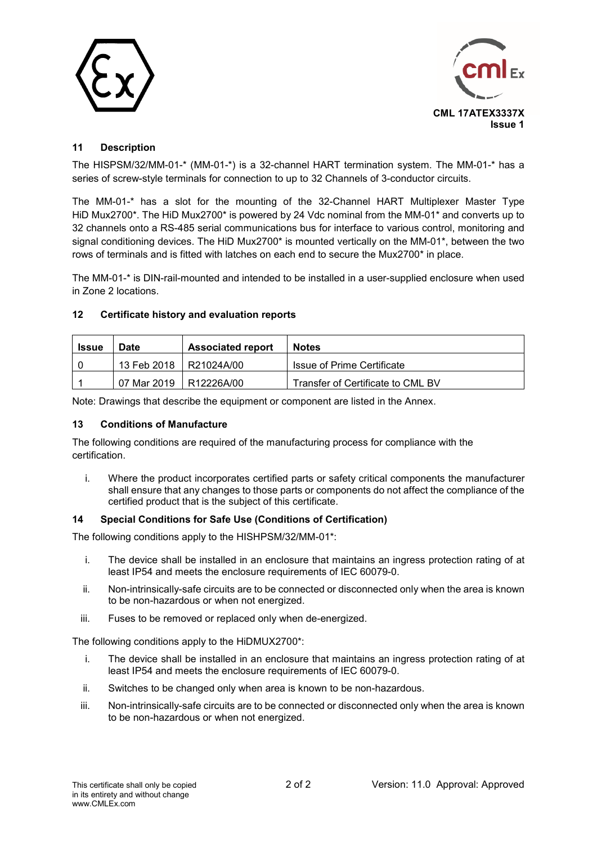



## **11 Description**

The HISPSM/32/MM-01-\* (MM-01-\*) is a 32-channel HART termination system. The MM-01-\* has a series of screw-style terminals for connection to up to 32 Channels of 3-conductor circuits.

The MM-01-\* has a slot for the mounting of the 32-Channel HART Multiplexer Master Type HiD Mux2700\*. The HiD Mux2700\* is powered by 24 Vdc nominal from the MM-01\* and converts up to 32 channels onto a RS-485 serial communications bus for interface to various control, monitoring and signal conditioning devices. The HiD Mux2700\* is mounted vertically on the MM-01\*, between the two rows of terminals and is fitted with latches on each end to secure the Mux2700\* in place.

The MM-01-\* is DIN-rail-mounted and intended to be installed in a user-supplied enclosure when used in Zone 2 locations.

### **12 Certificate history and evaluation reports**

| Issue | Date                     | <b>Associated report</b> | <b>Notes</b>                      |  |
|-------|--------------------------|--------------------------|-----------------------------------|--|
|       | 13 Feb 2018 R21024A/00   |                          | Issue of Prime Certificate        |  |
|       | 07 Mar 2019   R12226A/00 |                          | Transfer of Certificate to CML BV |  |

Note: Drawings that describe the equipment or component are listed in the Annex.

#### **13 Conditions of Manufacture**

The following conditions are required of the manufacturing process for compliance with the certification.

i. Where the product incorporates certified parts or safety critical components the manufacturer shall ensure that any changes to those parts or components do not affect the compliance of the certified product that is the subject of this certificate.

#### **14 Special Conditions for Safe Use (Conditions of Certification)**

The following conditions apply to the HISHPSM/32/MM-01\*:

- i. The device shall be installed in an enclosure that maintains an ingress protection rating of at least IP54 and meets the enclosure requirements of IEC 60079-0.
- ii. Non-intrinsically-safe circuits are to be connected or disconnected only when the area is known to be non-hazardous or when not energized.
- iii. Fuses to be removed or replaced only when de-energized.

The following conditions apply to the HiDMUX2700\*:

- i. The device shall be installed in an enclosure that maintains an ingress protection rating of at least IP54 and meets the enclosure requirements of IEC 60079-0.
- ii. Switches to be changed only when area is known to be non-hazardous.
- iii. Non-intrinsically-safe circuits are to be connected or disconnected only when the area is known to be non-hazardous or when not energized.